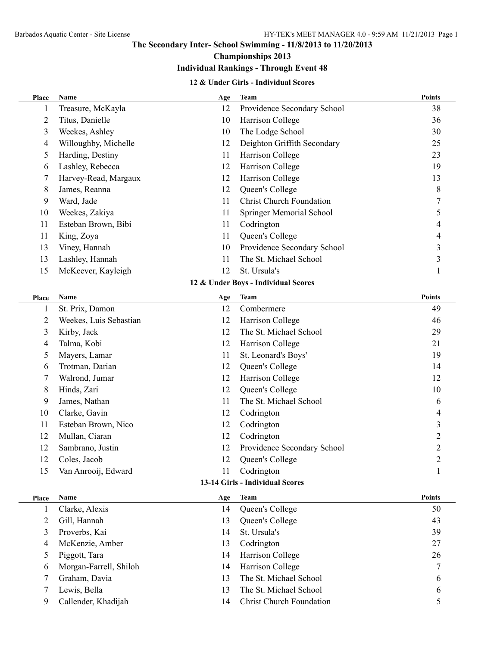### **The Secondary Inter- School Swimming - 11/8/2013 to 11/20/2013**

# **Championships 2013**

# **Individual Rankings - Through Event 48**

#### **12 & Under Girls - Individual Scores**

| Place                               | Name                            | Age | <b>Team</b>                     | <b>Points</b>  |  |  |  |  |  |  |
|-------------------------------------|---------------------------------|-----|---------------------------------|----------------|--|--|--|--|--|--|
| 1                                   | Treasure, McKayla               | 12  | Providence Secondary School     | 38             |  |  |  |  |  |  |
| 2                                   | Titus, Danielle                 | 10  | Harrison College                | 36             |  |  |  |  |  |  |
| 3                                   | Weekes, Ashley                  | 10  | The Lodge School                | 30             |  |  |  |  |  |  |
| 4                                   | Willoughby, Michelle            | 12  | Deighton Griffith Secondary     | 25             |  |  |  |  |  |  |
| 5                                   | Harding, Destiny                | 11  | Harrison College                | 23             |  |  |  |  |  |  |
| 6                                   | Lashley, Rebecca                | 12  | Harrison College                | 19             |  |  |  |  |  |  |
| 7                                   | Harvey-Read, Margaux            | 12  | Harrison College                | 13             |  |  |  |  |  |  |
| 8                                   | James, Reanna                   | 12  | Queen's College                 | $\,$ $\,$      |  |  |  |  |  |  |
| 9                                   | Ward, Jade                      | 11  | <b>Christ Church Foundation</b> | $\overline{7}$ |  |  |  |  |  |  |
| 10                                  | Weekes, Zakiya                  | 11  | Springer Memorial School        | 5              |  |  |  |  |  |  |
| 11                                  | Esteban Brown, Bibi             | 11  | Codrington                      | 4              |  |  |  |  |  |  |
| 11                                  | King, Zoya                      | 11  | Queen's College                 | 4              |  |  |  |  |  |  |
| 13                                  | Viney, Hannah                   | 10  | Providence Secondary School     | 3              |  |  |  |  |  |  |
| 13                                  | Lashley, Hannah                 | 11  | The St. Michael School          | 3              |  |  |  |  |  |  |
| 15                                  | McKeever, Kayleigh              | 12  | St. Ursula's                    | $\mathbf{1}$   |  |  |  |  |  |  |
| 12 & Under Boys - Individual Scores |                                 |     |                                 |                |  |  |  |  |  |  |
| Place                               | Name                            | Age | <b>Team</b>                     | <b>Points</b>  |  |  |  |  |  |  |
| $\mathbf{1}$                        | St. Prix, Damon                 | 12  | Combermere                      | 49             |  |  |  |  |  |  |
| 2                                   | Weekes, Luis Sebastian          | 12  | Harrison College                | 46             |  |  |  |  |  |  |
| 3                                   | Kirby, Jack                     | 12  | The St. Michael School          | 29             |  |  |  |  |  |  |
| 4                                   | Talma, Kobi                     | 12  | Harrison College                | 21             |  |  |  |  |  |  |
| 5                                   | Mayers, Lamar                   | 11  | St. Leonard's Boys'             | 19             |  |  |  |  |  |  |
| 6                                   | Trotman, Darian                 | 12  | Queen's College                 | 14             |  |  |  |  |  |  |
| 7                                   | Walrond, Jumar                  | 12  | Harrison College                | 12             |  |  |  |  |  |  |
| 8                                   | Hinds, Zari                     | 12  | Queen's College                 | 10             |  |  |  |  |  |  |
| 9                                   | James, Nathan                   | 11  | The St. Michael School          | 6              |  |  |  |  |  |  |
| 10                                  | Clarke, Gavin                   | 12  | Codrington                      | 4              |  |  |  |  |  |  |
| 11                                  | Esteban Brown, Nico             | 12  | Codrington                      | 3              |  |  |  |  |  |  |
| 12                                  | Mullan, Ciaran                  | 12  | Codrington                      | $\overline{2}$ |  |  |  |  |  |  |
| 12                                  | Sambrano, Justin                | 12  | Providence Secondary School     | $\overline{c}$ |  |  |  |  |  |  |
| 12                                  | Coles, Jacob                    | 12  | Queen's College                 | $\overline{c}$ |  |  |  |  |  |  |
| 15                                  | Van Anrooij, Edward             | 11  | Codrington                      | 1              |  |  |  |  |  |  |
|                                     | 13-14 Girls - Individual Scores |     |                                 |                |  |  |  |  |  |  |
| Place                               | Name                            | Age | <b>Team</b>                     | <b>Points</b>  |  |  |  |  |  |  |
| $\mathbf{1}$                        | Clarke, Alexis                  | 14  | Queen's College                 | 50             |  |  |  |  |  |  |
| 2                                   | Gill, Hannah                    | 13  | Queen's College                 | 43             |  |  |  |  |  |  |
| 3                                   | Proverbs, Kai                   | 14  | St. Ursula's                    | 39             |  |  |  |  |  |  |
| 4                                   | McKenzie, Amber                 | 13  | Codrington                      | 27             |  |  |  |  |  |  |
| 5                                   | Piggott, Tara                   | 14  | Harrison College                | 26             |  |  |  |  |  |  |
| 6                                   | Morgan-Farrell, Shiloh          | 14  | Harrison College                | 7              |  |  |  |  |  |  |
| 7                                   | Graham, Davia                   | 13  | The St. Michael School          | 6              |  |  |  |  |  |  |
| 7                                   | Lewis, Bella                    | 13  | The St. Michael School          | 6              |  |  |  |  |  |  |
| 9                                   | Callender, Khadijah             | 14  | <b>Christ Church Foundation</b> | 5              |  |  |  |  |  |  |
|                                     |                                 |     |                                 |                |  |  |  |  |  |  |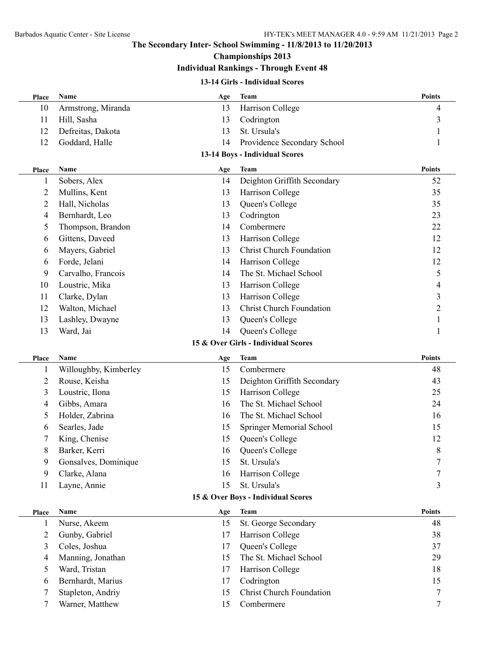### **The Secondary Inter- School Swimming - 11/8/2013 to 11/20/2013**

# **Championships 2013**

## **Individual Rankings - Through Event 48**

#### **13-14 Girls - Individual Scores**

| Place                              | Name                  | Age | <b>Team</b>                         | <b>Points</b>  |  |  |  |  |
|------------------------------------|-----------------------|-----|-------------------------------------|----------------|--|--|--|--|
| 10                                 | Armstrong, Miranda    | 13  | Harrison College                    | 4              |  |  |  |  |
| 11                                 | Hill, Sasha           | 13  | Codrington                          | 3              |  |  |  |  |
| 12                                 | Defreitas, Dakota     | 13  | St. Ursula's                        |                |  |  |  |  |
| 12                                 | Goddard, Halle        | 14  | Providence Secondary School         | 1              |  |  |  |  |
| 13-14 Boys - Individual Scores     |                       |     |                                     |                |  |  |  |  |
| <b>Place</b>                       | Name                  | Age | <b>Team</b>                         | <b>Points</b>  |  |  |  |  |
| 1                                  | Sobers, Alex          | 14  | Deighton Griffith Secondary         | 52             |  |  |  |  |
| 2                                  | Mullins, Kent         | 13  | Harrison College                    | 35             |  |  |  |  |
| 2                                  | Hall, Nicholas        | 13  | Queen's College                     | 35             |  |  |  |  |
| 4                                  | Bernhardt, Leo        | 13  | Codrington                          | 23             |  |  |  |  |
| 5                                  | Thompson, Brandon     | 14  | Combermere                          | 22             |  |  |  |  |
| 6                                  | Gittens, Daveed       | 13  | Harrison College                    | 12             |  |  |  |  |
| 6                                  | Mayers, Gabriel       | 13  | <b>Christ Church Foundation</b>     | 12             |  |  |  |  |
| 6                                  | Forde, Jelani         | 14  | Harrison College                    | 12             |  |  |  |  |
| 9                                  | Carvalho, Francois    | 14  | The St. Michael School              | 5              |  |  |  |  |
| 10                                 | Loustric, Mika        | 13  | Harrison College                    | $\overline{4}$ |  |  |  |  |
| 11                                 | Clarke, Dylan         | 13  | Harrison College                    | 3              |  |  |  |  |
| 12                                 | Walton, Michael       | 13  | <b>Christ Church Foundation</b>     | $\overline{c}$ |  |  |  |  |
| 13                                 | Lashley, Dwayne       | 13  | Queen's College                     | 1              |  |  |  |  |
| 13                                 | Ward, Jai             | 14  | Queen's College                     | 1              |  |  |  |  |
|                                    |                       |     | 15 & Over Girls - Individual Scores |                |  |  |  |  |
| Place                              | Name                  | Age | <b>Team</b>                         | <b>Points</b>  |  |  |  |  |
| 1                                  | Willoughby, Kimberley | 15  | Combermere                          | 48             |  |  |  |  |
| 2                                  | Rouse, Keisha         | 15  | Deighton Griffith Secondary         | 43             |  |  |  |  |
| 3                                  | Loustric, Ilona       | 15  | Harrison College                    | 25             |  |  |  |  |
| 4                                  | Gibbs, Amara          | 16  | The St. Michael School              | 24             |  |  |  |  |
| 5                                  | Holder, Zabrina       | 16  | The St. Michael School              | 16             |  |  |  |  |
| 6                                  | Searles, Jade         | 15  | Springer Memorial School            | 15             |  |  |  |  |
|                                    | King, Chenise         | 15  | Queen's College                     | 12             |  |  |  |  |
| 8                                  | Barker, Kerri         | 16  | Queen's College                     | 8              |  |  |  |  |
| 9                                  | Gonsalves, Dominique  | 15  | St. Ursula's                        | 7              |  |  |  |  |
| 9                                  | Clarke, Alana         | 16  | Harrison College                    |                |  |  |  |  |
| 11                                 | Layne, Annie          | 15  | St. Ursula's                        | 3              |  |  |  |  |
| 15 & Over Boys - Individual Scores |                       |     |                                     |                |  |  |  |  |
| Place                              | Name                  | Age | <b>Team</b>                         | <b>Points</b>  |  |  |  |  |
| 1                                  | Nurse, Akeem          | 15  | St. George Secondary                | 48             |  |  |  |  |
| $\overline{2}$                     | Gunby, Gabriel        | 17  | Harrison College                    | 38             |  |  |  |  |
| 3                                  | Coles, Joshua         | 17  | Queen's College                     | 37             |  |  |  |  |
| $\overline{4}$                     | Manning, Jonathan     | 15  | The St. Michael School              | 29             |  |  |  |  |
| 5                                  | Ward, Tristan         | 17  | Harrison College                    | 18             |  |  |  |  |
| 6                                  | Bernhardt, Marius     | 17  | Codrington                          | 15             |  |  |  |  |
| 7                                  | Stapleton, Andriy     | 15  | <b>Christ Church Foundation</b>     | 7              |  |  |  |  |
| 7                                  | Warner, Matthew       | 15  | Combermere                          | 7              |  |  |  |  |
|                                    |                       |     |                                     |                |  |  |  |  |